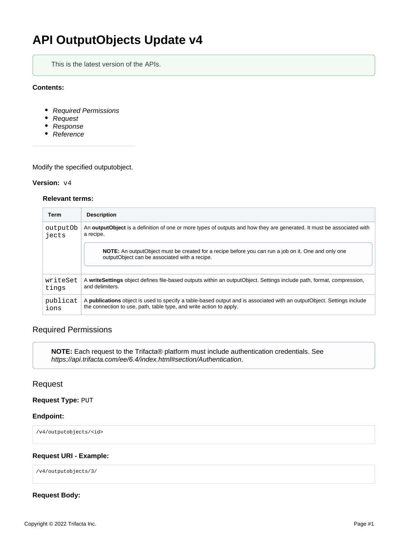# **API OutputObjects Update v4**

This is the latest version of the APIs.

#### **Contents:**

- [Required Permissions](#page-0-0)
- [Request](#page-0-1)
- [Response](#page-1-0)
- [Reference](#page-1-1)

Modify the specified outputobject.

#### **Version:** v4

#### **Relevant terms:**

| Term     | <b>Description</b>                                                                                                                                          |
|----------|-------------------------------------------------------------------------------------------------------------------------------------------------------------|
| output0b | An <b>outputObject</b> is a definition of one or more types of outputs and how they are generated. It must be associated with                               |
| iects    | a recipe.                                                                                                                                                   |
|          | <b>NOTE:</b> An outputObject must be created for a recipe before you can run a job on it. One and only one<br>outputObject can be associated with a recipe. |
| writeSet | A writeSettings object defines file-based outputs within an outputObject. Settings include path, format, compression,                                       |
| tings    | and delimiters.                                                                                                                                             |
| publicat | A <b>publications</b> object is used to specify a table-based output and is associated with an outputObject. Settings include                               |
| ions     | the connection to use, path, table type, and write action to apply.                                                                                         |

# <span id="page-0-0"></span>Required Permissions

**NOTE:** Each request to the Trifacta® platform must include authentication credentials. See <https://api.trifacta.com/ee/6.4/index.html#section/Authentication>.

## <span id="page-0-1"></span>Request

#### **Request Type:** PUT

#### **Endpoint:**

/v4/outputobjects/<id>

#### **Request URI - Example:**

/v4/outputobjects/3/

### **Request Body:**